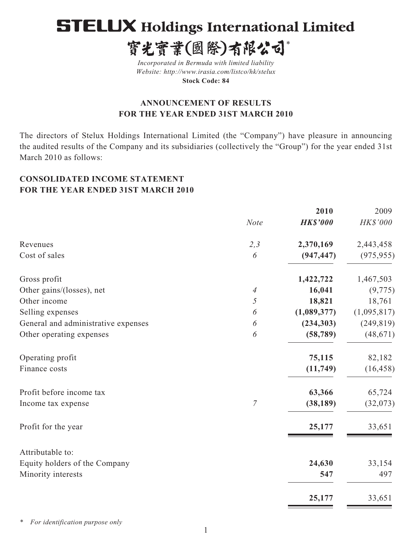# **STELUX Holdings International Limited**

寳光寳業(國際)有限公司\*

*Incorporated in Bermuda with limited liability Website: http://www.irasia.com/listco/hk/stelux* **Stock Code: 84**

# **ANNOUNCEMENT OF RESULTS FOR THE YEAR ENDED 31ST MARCH 2010**

The directors of Stelux Holdings International Limited (the "Company") have pleasure in announcing the audited results of the Company and its subsidiaries (collectively the "Group") for the year ended 31st March 2010 as follows:

# **CONSOLIDATED INCOME STATEMENT FOR THE YEAR ENDED 31ST MARCH 2010**

|                |                 | 2009           |
|----------------|-----------------|----------------|
| <b>Note</b>    | <b>HK\$'000</b> | HK\$'000       |
| 2,3            | 2,370,169       | 2,443,458      |
| 6              | (947, 447)      | (975, 955)     |
|                | 1,422,722       | 1,467,503      |
| 4              | 16,041          | (9, 775)       |
| 5              | 18,821          | 18,761         |
| 6              | (1,089,377)     | (1,095,817)    |
| 6              | (234, 303)      | (249, 819)     |
| 6              | (58, 789)       | (48, 671)      |
|                | 75,115          | 82,182         |
|                | (11,749)        | (16, 458)      |
|                |                 | 65,724         |
| $\overline{7}$ | (38, 189)       | (32,073)       |
|                | 25,177          | 33,651         |
|                |                 |                |
|                | 24,630          | 33,154         |
|                | 547             | 497            |
|                | 25,177          | 33,651         |
|                |                 | 2010<br>63,366 |

*\* For identification purpose only*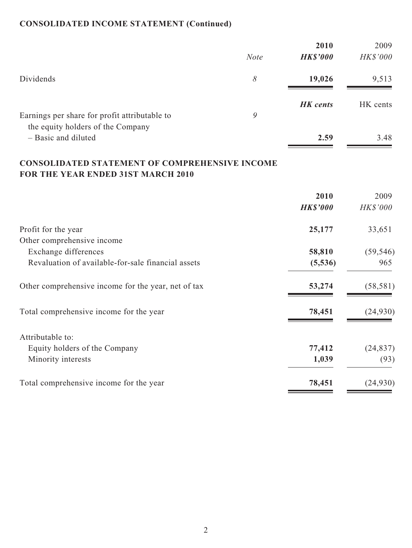# **CONSOLIDATED INCOME STATEMENT (Continued)**

|                                                          |             | 2010            | 2009     |
|----------------------------------------------------------|-------------|-----------------|----------|
|                                                          | <b>Note</b> | <b>HK\$'000</b> | HK\$'000 |
| Dividends                                                | 8           | 19,026          | 9,513    |
| Earnings per share for profit attributable to            | 9           | <b>HK</b> cents | HK cents |
| the equity holders of the Company<br>- Basic and diluted |             | 2.59            | 3.48     |

# **CONSOLIDATED STATEMENT OF COMPREHENSIVE INCOME FOR THE YEAR ENDED 31ST MARCH 2010**

|                                                     | 2010<br><b>HK\$'000</b> | 2009<br>HK\$'000 |
|-----------------------------------------------------|-------------------------|------------------|
| Profit for the year                                 | 25,177                  | 33,651           |
| Other comprehensive income                          |                         |                  |
| Exchange differences                                | 58,810                  | (59, 546)        |
| Revaluation of available-for-sale financial assets  | (5,536)                 | 965              |
| Other comprehensive income for the year, net of tax | 53,274                  | (58, 581)        |
| Total comprehensive income for the year             | 78,451                  | (24, 930)        |
| Attributable to:                                    |                         |                  |
| Equity holders of the Company                       | 77,412                  | (24, 837)        |
| Minority interests                                  | 1,039                   | (93)             |
| Total comprehensive income for the year             | 78,451                  | (24, 930)        |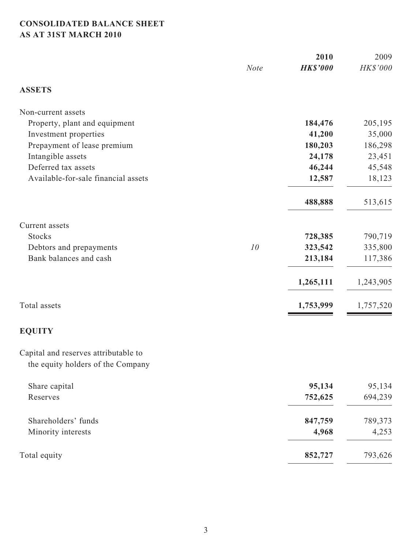# **CONSOLIDATED BALANCE SHEET AS AT 31ST MARCH 2010**

|                                                                           |             |                 | 2009      |  |
|---------------------------------------------------------------------------|-------------|-----------------|-----------|--|
|                                                                           | <b>Note</b> | <b>HK\$'000</b> | HK\$'000  |  |
| <b>ASSETS</b>                                                             |             |                 |           |  |
| Non-current assets                                                        |             |                 |           |  |
| Property, plant and equipment                                             |             | 184,476         | 205,195   |  |
| Investment properties                                                     |             | 41,200          | 35,000    |  |
| Prepayment of lease premium                                               |             | 180,203         | 186,298   |  |
| Intangible assets                                                         |             | 24,178          | 23,451    |  |
| Deferred tax assets                                                       |             | 46,244          | 45,548    |  |
| Available-for-sale financial assets                                       |             | 12,587          | 18,123    |  |
|                                                                           |             | 488,888         | 513,615   |  |
| Current assets                                                            |             |                 |           |  |
| <b>Stocks</b>                                                             |             | 728,385         | 790,719   |  |
| Debtors and prepayments                                                   | 10          | 323,542         | 335,800   |  |
| Bank balances and cash                                                    |             | 213,184         | 117,386   |  |
|                                                                           |             | 1,265,111       | 1,243,905 |  |
| Total assets                                                              |             | 1,753,999       | 1,757,520 |  |
| <b>EQUITY</b>                                                             |             |                 |           |  |
| Capital and reserves attributable to<br>the equity holders of the Company |             |                 |           |  |
| Share capital                                                             |             | 95,134          | 95,134    |  |
| Reserves                                                                  |             | 752,625         | 694,239   |  |
| Shareholders' funds                                                       |             | 847,759         | 789,373   |  |
| Minority interests                                                        |             | 4,968           | 4,253     |  |
| Total equity                                                              |             | 852,727         | 793,626   |  |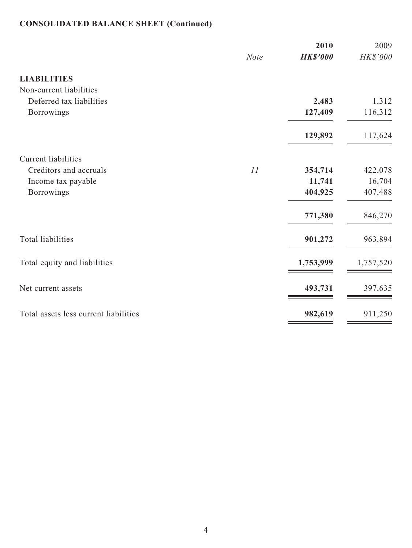# **CONSOLIDATED BALANCE SHEET (Continued)**

| <b>Note</b> | 2010<br><b>HK\$'000</b> | 2009<br>HK\$'000 |
|-------------|-------------------------|------------------|
|             |                         |                  |
|             |                         |                  |
|             | 2,483                   | 1,312            |
|             | 127,409                 | 116,312          |
|             | 129,892                 | 117,624          |
|             |                         |                  |
| 11          | 354,714                 | 422,078          |
|             | 11,741                  | 16,704           |
|             | 404,925                 | 407,488          |
|             | 771,380                 | 846,270          |
|             | 901,272                 | 963,894          |
|             | 1,753,999               | 1,757,520        |
|             | 493,731                 | 397,635          |
|             | 982,619                 | 911,250          |
|             |                         |                  |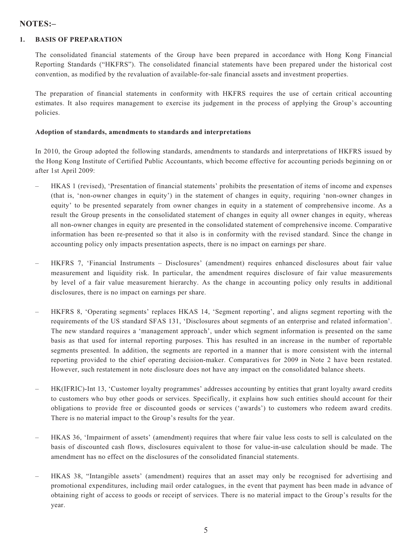### **NOTES:–**

#### **1. BASIS OF PREPARATION**

The consolidated financial statements of the Group have been prepared in accordance with Hong Kong Financial Reporting Standards ("HKFRS"). The consolidated financial statements have been prepared under the historical cost convention, as modified by the revaluation of available-for-sale financial assets and investment properties.

The preparation of financial statements in conformity with HKFRS requires the use of certain critical accounting estimates. It also requires management to exercise its judgement in the process of applying the Group's accounting policies.

#### **Adoption of standards, amendments to standards and interpretations**

In 2010, the Group adopted the following standards, amendments to standards and interpretations of HKFRS issued by the Hong Kong Institute of Certified Public Accountants, which become effective for accounting periods beginning on or after 1st April 2009:

- HKAS 1 (revised), 'Presentation of financial statements' prohibits the presentation of items of income and expenses (that is, 'non-owner changes in equity') in the statement of changes in equity, requiring 'non-owner changes in equity' to be presented separately from owner changes in equity in a statement of comprehensive income. As a result the Group presents in the consolidated statement of changes in equity all owner changes in equity, whereas all non-owner changes in equity are presented in the consolidated statement of comprehensive income. Comparative information has been re-presented so that it also is in conformity with the revised standard. Since the change in accounting policy only impacts presentation aspects, there is no impact on earnings per share.
- HKFRS 7, 'Financial Instruments Disclosures' (amendment) requires enhanced disclosures about fair value measurement and liquidity risk. In particular, the amendment requires disclosure of fair value measurements by level of a fair value measurement hierarchy. As the change in accounting policy only results in additional disclosures, there is no impact on earnings per share.
- HKFRS 8, 'Operating segments' replaces HKAS 14, 'Segment reporting', and aligns segment reporting with the requirements of the US standard SFAS 131, 'Disclosures about segments of an enterprise and related information'. The new standard requires a 'management approach', under which segment information is presented on the same basis as that used for internal reporting purposes. This has resulted in an increase in the number of reportable segments presented. In addition, the segments are reported in a manner that is more consistent with the internal reporting provided to the chief operating decision-maker. Comparatives for 2009 in Note 2 have been restated. However, such restatement in note disclosure does not have any impact on the consolidated balance sheets.
- HK(IFRIC)-Int 13, 'Customer loyalty programmes' addresses accounting by entities that grant loyalty award credits to customers who buy other goods or services. Specifically, it explains how such entities should account for their obligations to provide free or discounted goods or services ('awards') to customers who redeem award credits. There is no material impact to the Group's results for the year.
- HKAS 36, 'Impairment of assets' (amendment) requires that where fair value less costs to sell is calculated on the basis of discounted cash flows, disclosures equivalent to those for value-in-use calculation should be made. The amendment has no effect on the disclosures of the consolidated financial statements.
- HKAS 38, "Intangible assets' (amendment) requires that an asset may only be recognised for advertising and promotional expenditures, including mail order catalogues, in the event that payment has been made in advance of obtaining right of access to goods or receipt of services. There is no material impact to the Group's results for the year.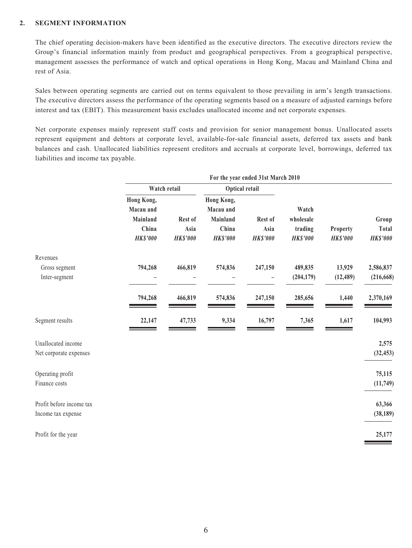#### **2. SEGMENT INFORMATION**

The chief operating decision-makers have been identified as the executive directors. The executive directors review the Group's financial information mainly from product and geographical perspectives. From a geographical perspective, management assesses the performance of watch and optical operations in Hong Kong, Macau and Mainland China and rest of Asia.

Sales between operating segments are carried out on terms equivalent to those prevailing in arm's length transactions. The executive directors assess the performance of the operating segments based on a measure of adjusted earnings before interest and tax (EBIT). This measurement basis excludes unallocated income and net corporate expenses.

Net corporate expenses mainly represent staff costs and provision for senior management bonus. Unallocated assets represent equipment and debtors at corporate level, available-for-sale financial assets, deferred tax assets and bank balances and cash. Unallocated liabilities represent creditors and accruals at corporate level, borrowings, deferred tax liabilities and income tax payable.

|                          | For the year ended 31st March 2010 |                   |                         |                 |                 |                 |                 |  |
|--------------------------|------------------------------------|-------------------|-------------------------|-----------------|-----------------|-----------------|-----------------|--|
|                          | Watch retail                       |                   | Optical retail          |                 |                 |                 |                 |  |
|                          | Hong Kong,<br>Macau and            |                   | Hong Kong,<br>Macau and |                 | Watch           |                 |                 |  |
|                          | Mainland                           | Rest of           | Mainland                | Rest of         | wholesale       |                 | Group           |  |
|                          | China                              | Asia              | China                   | Asia            | trading         | Property        | <b>Total</b>    |  |
|                          | <b>HK\$'000</b>                    | $HK$^{\prime}000$ | <b>HK\$'000</b>         | <b>HK\$'000</b> | <b>HK\$'000</b> | <b>HK\$'000</b> | <b>HK\$'000</b> |  |
| Revenues                 |                                    |                   |                         |                 |                 |                 |                 |  |
| Gross segment            | 794,268                            | 466,819           | 574,836                 | 247,150         | 489,835         | 13,929          | 2,586,837       |  |
| Inter-segment            |                                    |                   |                         |                 | (204, 179)      | (12, 489)       | (216, 668)      |  |
|                          | 794,268                            | 466,819           | 574,836                 | 247,150         | 285,656         | 1,440           | 2,370,169       |  |
| Segment results          | 22,147                             | 47,733            | 9,334                   | 16,797          | 7,365           | 1,617           | 104,993         |  |
| Unallocated income       |                                    |                   |                         |                 |                 |                 | 2,575           |  |
| Net corporate expenses   |                                    |                   |                         |                 |                 |                 | (32, 453)       |  |
| Operating profit         |                                    |                   |                         |                 |                 |                 | 75,115          |  |
| Finance costs            |                                    |                   |                         |                 |                 |                 | (11,749)        |  |
| Profit before income tax |                                    |                   |                         |                 |                 |                 | 63,366          |  |
| Income tax expense       |                                    |                   |                         |                 |                 |                 | (38, 189)       |  |
| Profit for the year      |                                    |                   |                         |                 |                 |                 | 25,177          |  |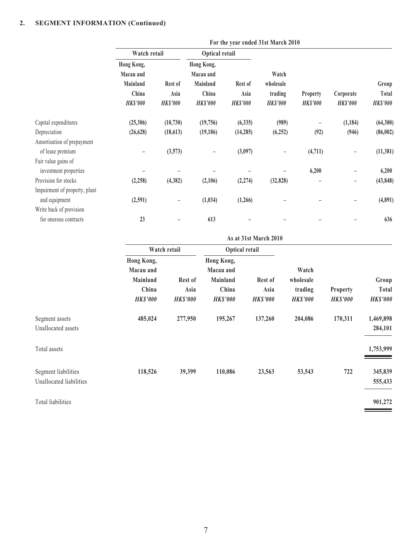### **2. SEGMENT INFORMATION (Continued)**

|                               | For the year ended 31st March 2010 |                         |                          |                         |                            |                                    |                              |                          |
|-------------------------------|------------------------------------|-------------------------|--------------------------|-------------------------|----------------------------|------------------------------------|------------------------------|--------------------------|
|                               | Watch retail                       |                         | Optical retail           |                         |                            |                                    |                              |                          |
|                               | Hong Kong,                         |                         | Hong Kong,               |                         |                            |                                    |                              |                          |
|                               | Macau and                          |                         | Macau and                |                         | Watch                      |                                    |                              |                          |
|                               | Mainland                           | Rest of                 | Mainland                 | Rest of                 | wholesale                  |                                    |                              | Group                    |
|                               | China<br><b>HK\$'000</b>           | Asia<br><b>HK\$'000</b> | China<br><b>HK\$'000</b> | Asia<br><b>HK\$'000</b> | trading<br><b>HK\$'000</b> | <b>Property</b><br><b>HK\$'000</b> | Corporate<br><b>HK\$'000</b> | Total<br><b>HK\$'000</b> |
| Capital expenditures          | (25,306)                           | (10, 730)               | (19,756)                 | (6,335)                 | (989)                      |                                    | (1, 184)                     | (64, 300)                |
| Depreciation                  | (26, 628)                          | (18, 613)               | (19, 186)                | (14, 285)               | (6,252)                    | (92)                               | (946)                        | (86, 002)                |
| Amortisation of prepayment    |                                    |                         |                          |                         |                            |                                    |                              |                          |
| of lease premium              |                                    | (3,573)                 |                          | (3,097)                 |                            | (4,711)                            |                              | (11, 381)                |
| Fair value gains of           |                                    |                         |                          |                         |                            |                                    |                              |                          |
| investment properties         |                                    |                         |                          |                         |                            | 6,200                              |                              | 6,200                    |
| Provision for stocks          | (2, 258)                           | (4,382)                 | (2,106)                  | (2, 274)                | (32, 828)                  | ۰                                  | -                            | (43, 848)                |
| Impairment of property, plant |                                    |                         |                          |                         |                            |                                    |                              |                          |
| and equipment                 | (2,591)                            |                         | (1,034)                  | (1,266)                 |                            |                                    |                              | (4,891)                  |
| Write back of provision       |                                    |                         |                          |                         |                            |                                    |                              |                          |
| for onerous contracts         | 23                                 |                         | 613                      |                         |                            |                                    |                              | 636                      |

|                                                | As at 31st March 2010                                           |                                    |                                                                        |                                    |                                                  |                                    |                                          |
|------------------------------------------------|-----------------------------------------------------------------|------------------------------------|------------------------------------------------------------------------|------------------------------------|--------------------------------------------------|------------------------------------|------------------------------------------|
|                                                |                                                                 | Watch retail                       | <b>Optical retail</b>                                                  |                                    |                                                  |                                    |                                          |
|                                                | Hong Kong,<br>Macau and<br>Mainland<br>China<br><b>HK\$'000</b> | Rest of<br>Asia<br><b>HK\$'000</b> | Hong Kong,<br>Macau and<br><b>Mainland</b><br>China<br><b>HK\$'000</b> | Rest of<br>Asia<br><b>HK\$'000</b> | Watch<br>wholesale<br>trading<br><b>HK\$'000</b> | <b>Property</b><br><b>HK\$'000</b> | Group<br><b>Total</b><br><b>HK\$'000</b> |
| Segment assets<br>Unallocated assets           | 485,024                                                         | 277,950                            | 195,267                                                                | 137,260                            | 204,086                                          | 170,311                            | 1,469,898<br>284,101                     |
| Total assets                                   |                                                                 |                                    |                                                                        |                                    |                                                  |                                    | 1,753,999                                |
| Segment liabilities<br>Unallocated liabilities | 118,526                                                         | 39,399                             | 110,086                                                                | 23,563                             | 53,543                                           | 722                                | 345,839<br>555,433                       |
| Total liabilities                              |                                                                 |                                    |                                                                        |                                    |                                                  |                                    | 901,272                                  |

**STATISTICS**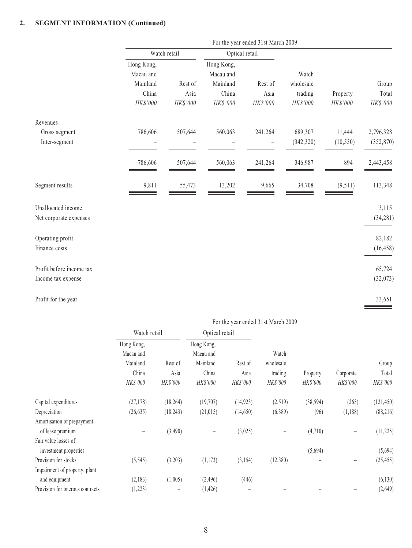### **2. SEGMENT INFORMATION (Continued)**

|                          | For the year ended 31st March 2009           |                 |                                              |                          |                               |           |                |  |
|--------------------------|----------------------------------------------|-----------------|----------------------------------------------|--------------------------|-------------------------------|-----------|----------------|--|
|                          | Watch retail                                 |                 | Optical retail                               |                          |                               |           |                |  |
|                          | Hong Kong,<br>Macau and<br>Mainland<br>China | Rest of<br>Asia | Hong Kong,<br>Macau and<br>Mainland<br>China | Rest of<br>Asia          | Watch<br>wholesale<br>trading | Property  | Group<br>Total |  |
|                          | HK\$'000                                     | HK\$'000        | HK\$'000                                     | HK\$'000                 | HK\$'000                      | HK\$'000  | HK\$'000       |  |
| Revenues                 |                                              |                 |                                              |                          |                               |           |                |  |
| Gross segment            | 786,606                                      | 507,644         | 560,063                                      | 241,264                  | 689,307                       | 11,444    | 2,796,328      |  |
| Inter-segment            |                                              |                 |                                              | $\overline{\phantom{0}}$ | (342, 320)                    | (10, 550) | (352, 870)     |  |
|                          | 786,606                                      | 507,644         | 560,063                                      | 241,264                  | 346,987                       | 894       | 2,443,458      |  |
| Segment results          | 9,811                                        | 55,473          | 13,202                                       | 9,665                    | 34,708                        | (9,511)   | 113,348        |  |
| Unallocated income       |                                              |                 |                                              |                          |                               |           | 3,115          |  |
| Net corporate expenses   |                                              |                 |                                              |                          |                               |           | (34, 281)      |  |
| Operating profit         |                                              |                 |                                              |                          |                               |           | 82,182         |  |
| Finance costs            |                                              |                 |                                              |                          |                               |           | (16, 458)      |  |
| Profit before income tax |                                              |                 |                                              |                          |                               |           | 65,724         |  |
| Income tax expense       |                                              |                 |                                              |                          |                               |           | (32,073)       |  |
| Profit for the year      |                                              |                 |                                              |                          |                               |           | 33,651         |  |

|                                 | For the year ended 31st March 2009 |           |                         |                |           |           |           |            |
|---------------------------------|------------------------------------|-----------|-------------------------|----------------|-----------|-----------|-----------|------------|
|                                 | Watch retail                       |           |                         | Optical retail |           |           |           |            |
|                                 | Hong Kong,<br>Macau and            |           | Hong Kong,<br>Macau and |                | Watch     |           |           |            |
|                                 | Mainland                           | Rest of   | Mainland                | Rest of        | wholesale |           |           | Group      |
|                                 | China                              | Asia      | China                   | Asia           | trading   | Property  | Corporate | Total      |
|                                 | HK\$'000                           | HK\$'000  | HK\$'000                | HK\$'000       | HK\$'000  | HK\$'000  | HK\$'000  | HK\$'000   |
| Capital expenditures            | (27, 178)                          | (18, 264) | (19,707)                | (14, 923)      | (2,519)   | (38, 594) | (265)     | (121, 450) |
| Depreciation                    | (26, 635)                          | (18,243)  | (21, 015)               | (14,650)       | (6,389)   | (96)      | (1,188)   | (88, 216)  |
| Amortisation of prepayment      |                                    |           |                         |                |           |           |           |            |
| of lease premium                |                                    | (3,490)   |                         | (3,025)        |           | (4,710)   |           | (11, 225)  |
| Fair value losses of            |                                    |           |                         |                |           |           |           |            |
| investment properties           |                                    |           |                         |                |           | (5,694)   |           | (5,694)    |
| Provision for stocks            | (5, 545)                           | (3,203)   | (1,173)                 | (3,154)        | (12,380)  |           |           | (25, 455)  |
| Impairment of property, plant   |                                    |           |                         |                |           |           |           |            |
| and equipment                   | (2,183)                            | (1,005)   | (2, 496)                | (446)          |           |           |           | (6, 130)   |
| Provision for onerous contracts | (1,223)                            | -         | (1,426)                 |                |           |           |           | (2,649)    |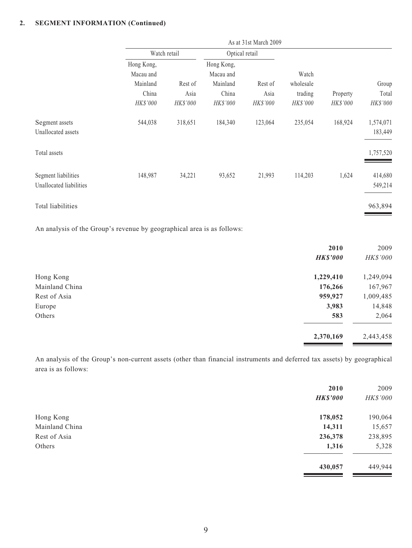### **2. SEGMENT INFORMATION (Continued)**

| Group                                    |
|------------------------------------------|
| Total                                    |
| HK\$'000                                 |
| 1,574,071                                |
| 183,449                                  |
| 1,757,520                                |
| 414,680                                  |
| 549,214                                  |
| 963,894                                  |
| Property<br>HK\$'000<br>168,924<br>1,624 |

An analysis of the Group's revenue by geographical area is as follows:

|                | 2010            | 2009      |
|----------------|-----------------|-----------|
|                | <b>HK\$'000</b> | HK\$'000  |
| Hong Kong      | 1,229,410       | 1,249,094 |
| Mainland China | 176,266         | 167,967   |
| Rest of Asia   | 959,927         | 1,009,485 |
| Europe         | 3,983           | 14,848    |
| Others         | 583             | 2,064     |
|                | 2,370,169       | 2,443,458 |

An analysis of the Group's non-current assets (other than financial instruments and deferred tax assets) by geographical area is as follows:

|                | 2010            | 2009            |
|----------------|-----------------|-----------------|
|                | <b>HK\$'000</b> | <b>HK\$'000</b> |
| Hong Kong      | 178,052         | 190,064         |
| Mainland China | 14,311          | 15,657          |
| Rest of Asia   | 236,378         | 238,895         |
| Others         | 1,316           | 5,328           |
|                | 430,057         | 449,944         |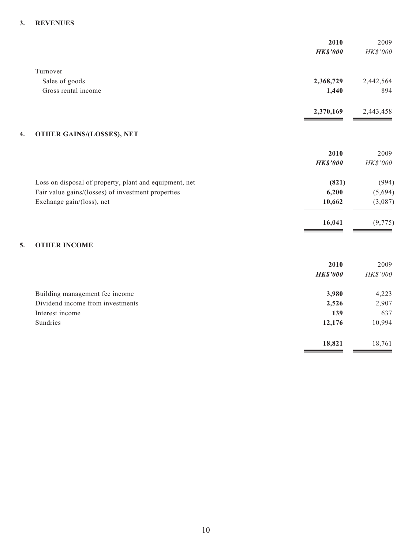#### **3. REVENUES**

|                                                        | 2010<br><b>HK\$'000</b> | 2009<br>HK\$'000 |
|--------------------------------------------------------|-------------------------|------------------|
| Turnover                                               |                         |                  |
| Sales of goods                                         | 2,368,729               | 2,442,564        |
| Gross rental income                                    | 1,440                   | 894              |
|                                                        | 2,370,169               | 2,443,458        |
| <b>OTHER GAINS/(LOSSES), NET</b><br>4.                 |                         |                  |
|                                                        | 2010                    | 2009             |
|                                                        | <b>HK\$'000</b>         | HK\$'000         |
| Loss on disposal of property, plant and equipment, net | (821)                   | (994)            |
| Fair value gains/(losses) of investment properties     | 6,200                   | (5,694)          |
| Exchange gain/(loss), net                              | 10,662                  | (3,087)          |
|                                                        | 16,041                  | (9, 775)         |
| <b>OTHER INCOME</b><br>5.                              |                         |                  |
|                                                        | 2010                    | 2009             |
|                                                        | <b>HK\$'000</b>         | HK\$'000         |
| Building management fee income                         | 3,980                   | 4,223            |
| Dividend income from investments                       | 2,526                   | 2,907            |
| Interest income                                        | 139                     | 637              |
| Sundries                                               | 12,176                  | 10,994           |

**18,821 18,761** 

۰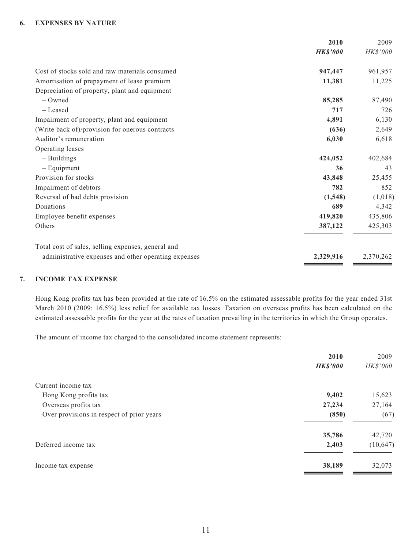#### **6. EXPENSES BY NATURE**

| 2010<br>2009                |                                                      |
|-----------------------------|------------------------------------------------------|
| HK\$'000<br><b>HK\$'000</b> |                                                      |
| 961,957<br>947,447          | Cost of stocks sold and raw materials consumed       |
| 11,381<br>11,225            | Amortisation of prepayment of lease premium          |
|                             | Depreciation of property, plant and equipment        |
| 85,285<br>87,490            | $-$ Owned                                            |
| 717<br>726                  | - Leased                                             |
| 4,891<br>6,130              | Impairment of property, plant and equipment          |
| (636)<br>2,649              | (Write back of)/provision for onerous contracts      |
| 6,030<br>6,618              | Auditor's remuneration                               |
|                             | Operating leases                                     |
| 424,052<br>402,684          | - Buildings                                          |
| 36<br>43                    | $-$ Equipment                                        |
| 43,848<br>25,455            | Provision for stocks                                 |
| 782<br>852                  | Impairment of debtors                                |
| (1, 548)<br>(1,018)         | Reversal of bad debts provision                      |
| 689<br>4,342                | Donations                                            |
| 419,820<br>435,806          | Employee benefit expenses                            |
| 425,303<br>387,122          | Others                                               |
|                             | Total cost of sales, selling expenses, general and   |
| 2,329,916<br>2,370,262      | administrative expenses and other operating expenses |
|                             |                                                      |

#### **7. INCOME TAX EXPENSE**

Hong Kong profits tax has been provided at the rate of 16.5% on the estimated assessable profits for the year ended 31st March 2010 (2009: 16.5%) less relief for available tax losses. Taxation on overseas profits has been calculated on the estimated assessable profits for the year at the rates of taxation prevailing in the territories in which the Group operates.

The amount of income tax charged to the consolidated income statement represents:

| 2010            | 2009      |
|-----------------|-----------|
| <b>HK\$'000</b> | HK\$'000  |
|                 |           |
| 9,402           | 15,623    |
| 27,234          | 27,164    |
| (850)           | (67)      |
| 35,786          | 42,720    |
| 2,403           | (10, 647) |
| 38,189          | 32,073    |
|                 |           |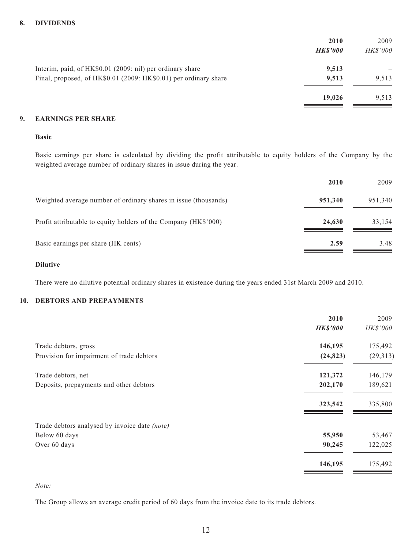#### **8. DIVIDENDS**

|                                                                  | 2010<br><b>HKS'000</b> | 2009<br><b>HK\$'000</b> |
|------------------------------------------------------------------|------------------------|-------------------------|
| Interim, paid, of HK\$0.01 (2009: nil) per ordinary share        | 9,513                  |                         |
| Final, proposed, of HK\$0.01 (2009: HK\$0.01) per ordinary share | 9,513                  | 9,513                   |
|                                                                  | 19,026                 | 9,513                   |

#### **9. EARNINGS PER SHARE**

#### **Basic**

Basic earnings per share is calculated by dividing the profit attributable to equity holders of the Company by the weighted average number of ordinary shares in issue during the year.

|                                                                 | 2010    | 2009    |
|-----------------------------------------------------------------|---------|---------|
| Weighted average number of ordinary shares in issue (thousands) | 951,340 | 951,340 |
| Profit attributable to equity holders of the Company (HK\$'000) | 24,630  | 33,154  |
| Basic earnings per share (HK cents)                             | 2.59    | 3.48    |

#### **Dilutive**

There were no dilutive potential ordinary shares in existence during the years ended 31st March 2009 and 2010.

#### **10. DEBTORS AND PREPAYMENTS**

|                                               | 2010            | 2009      |
|-----------------------------------------------|-----------------|-----------|
|                                               | <b>HK\$'000</b> | HK\$'000  |
| Trade debtors, gross                          | 146,195         | 175,492   |
| Provision for impairment of trade debtors     | (24, 823)       | (29, 313) |
| Trade debtors, net                            | 121,372         | 146,179   |
| Deposits, prepayments and other debtors       | 202,170         | 189,621   |
|                                               | 323,542         | 335,800   |
| Trade debtors analysed by invoice date (note) |                 |           |
| Below 60 days                                 | 55,950          | 53,467    |
| Over 60 days                                  | 90,245          | 122,025   |
|                                               | 146,195         | 175,492   |

#### *Note:*

The Group allows an average credit period of 60 days from the invoice date to its trade debtors.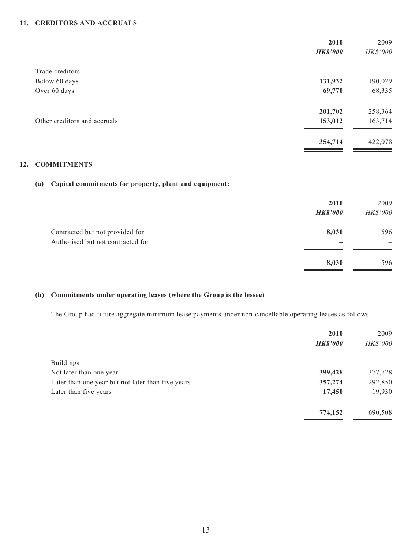#### **11. CREDITORS AND ACCRUALS**

|                              | 2010            | 2009     |
|------------------------------|-----------------|----------|
|                              | <b>HK\$'000</b> | HK\$'000 |
| Trade creditors              |                 |          |
| Below 60 days                | 131,932         | 190,029  |
| Over 60 days                 | 69,770          | 68,335   |
|                              | 201,702         | 258,364  |
| Other creditors and accruals | 153,012         | 163,714  |
|                              | 354,714         | 422,078  |
|                              |                 |          |

### **12. COMMITMENTS**

#### **(a) Capital commitments for property, plant and equipment:**

|                                                                      | 2010<br><b>HK\$'000</b> | 2009<br>HK\$'000 |
|----------------------------------------------------------------------|-------------------------|------------------|
| Contracted but not provided for<br>Authorised but not contracted for | 8,030                   | 596              |
|                                                                      | 8,030                   | 596              |

### **(b) Commitments under operating leases (where the Group is the lessee)**

The Group had future aggregate minimum lease payments under non-cancellable operating leases as follows:

| 2010            | 2009     |
|-----------------|----------|
| <b>HK\$'000</b> | HK\$'000 |
|                 |          |
| 399,428         | 377,728  |
| 357,274         | 292,850  |
| 17,450          | 19,930   |
| 774,152         | 690,508  |
|                 |          |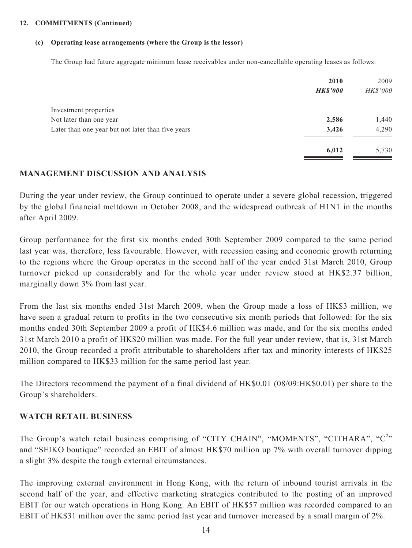#### **12. COMMITMENTS (Continued)**

#### **(c) Operating lease arrangements (where the Group is the lessor)**

The Group had future aggregate minimum lease receivables under non-cancellable operating leases as follows:

|                                                   | 2010<br><b>HK\$'000</b> | 2009<br>HK\$'000 |
|---------------------------------------------------|-------------------------|------------------|
| Investment properties                             |                         |                  |
| Not later than one year                           | 2,586                   | 1,440            |
| Later than one year but not later than five years | 3,426                   | 4,290            |
|                                                   | 6,012                   | 5,730            |

### **MANAGEMENT DISCUSSION AND ANALYSIS**

During the year under review, the Group continued to operate under a severe global recession, triggered by the global financial meltdown in October 2008, and the widespread outbreak of H1N1 in the months after April 2009.

Group performance for the first six months ended 30th September 2009 compared to the same period last year was, therefore, less favourable. However, with recession easing and economic growth returning to the regions where the Group operates in the second half of the year ended 31st March 2010, Group turnover picked up considerably and for the whole year under review stood at HK\$2.37 billion, marginally down 3% from last year.

From the last six months ended 31st March 2009, when the Group made a loss of HK\$3 million, we have seen a gradual return to profits in the two consecutive six month periods that followed: for the six months ended 30th September 2009 a profit of HK\$4.6 million was made, and for the six months ended 31st March 2010 a profit of HK\$20 million was made. For the full year under review, that is, 31st March 2010, the Group recorded a profit attributable to shareholders after tax and minority interests of HK\$25 million compared to HK\$33 million for the same period last year.

The Directors recommend the payment of a final dividend of HK\$0.01 (08/09:HK\$0.01) per share to the Group's shareholders.

### **WATCH RETAIL BUSINESS**

The Group's watch retail business comprising of "CITY CHAIN", "MOMENTS", "CITHARA", " $C^{2n}$ and "SEIKO boutique" recorded an EBIT of almost HK\$70 million up 7% with overall turnover dipping a slight 3% despite the tough external circumstances.

The improving external environment in Hong Kong, with the return of inbound tourist arrivals in the second half of the year, and effective marketing strategies contributed to the posting of an improved EBIT for our watch operations in Hong Kong. An EBIT of HK\$57 million was recorded compared to an EBIT of HK\$31 million over the same period last year and turnover increased by a small margin of 2%.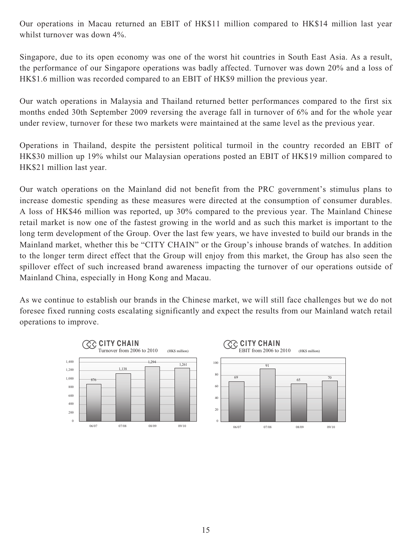Our operations in Macau returned an EBIT of HK\$11 million compared to HK\$14 million last year whilst turnover was down 4%.

Singapore, due to its open economy was one of the worst hit countries in South East Asia. As a result, the performance of our Singapore operations was badly affected. Turnover was down 20% and a loss of HK\$1.6 million was recorded compared to an EBIT of HK\$9 million the previous year.

Our watch operations in Malaysia and Thailand returned better performances compared to the first six months ended 30th September 2009 reversing the average fall in turnover of 6% and for the whole year under review, turnover for these two markets were maintained at the same level as the previous year.

Operations in Thailand, despite the persistent political turmoil in the country recorded an EBIT of HK\$30 million up 19% whilst our Malaysian operations posted an EBIT of HK\$19 million compared to HK\$21 million last year.

Our watch operations on the Mainland did not benefit from the PRC government's stimulus plans to increase domestic spending as these measures were directed at the consumption of consumer durables. A loss of HK\$46 million was reported, up 30% compared to the previous year. The Mainland Chinese retail market is now one of the fastest growing in the world and as such this market is important to the long term development of the Group. Over the last few years, we have invested to build our brands in the Mainland market, whether this be "CITY CHAIN" or the Group's inhouse brands of watches. In addition to the longer term direct effect that the Group will enjoy from this market, the Group has also seen the spillover effect of such increased brand awareness impacting the turnover of our operations outside of Mainland China, especially in Hong Kong and Macau.

As we continue to establish our brands in the Chinese market, we will still face challenges but we do not foresee fixed running costs escalating significantly and expect the results from our Mainland watch retail operations to improve.

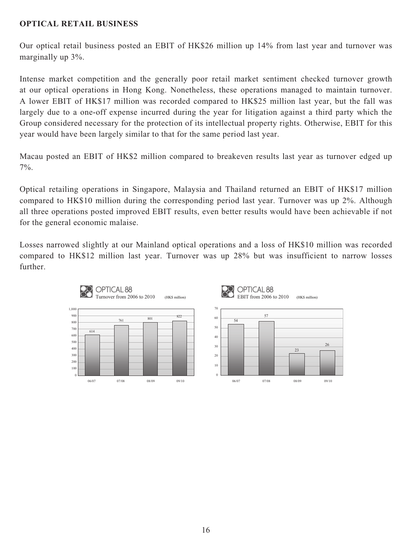## **OPTICAL RETAIL BUSINESS**

Our optical retail business posted an EBIT of HK\$26 million up 14% from last year and turnover was marginally up 3%.

Intense market competition and the generally poor retail market sentiment checked turnover growth at our optical operations in Hong Kong. Nonetheless, these operations managed to maintain turnover. A lower EBIT of HK\$17 million was recorded compared to HK\$25 million last year, but the fall was largely due to a one-off expense incurred during the year for litigation against a third party which the Group considered necessary for the protection of its intellectual property rights. Otherwise, EBIT for this year would have been largely similar to that for the same period last year.

Macau posted an EBIT of HK\$2 million compared to breakeven results last year as turnover edged up 7%.

Optical retailing operations in Singapore, Malaysia and Thailand returned an EBIT of HK\$17 million compared to HK\$10 million during the corresponding period last year. Turnover was up 2%. Although all three operations posted improved EBIT results, even better results would have been achievable if not for the general economic malaise.

Losses narrowed slightly at our Mainland optical operations and a loss of HK\$10 million was recorded compared to HK\$12 million last year. Turnover was up 28% but was insufficient to narrow losses further.

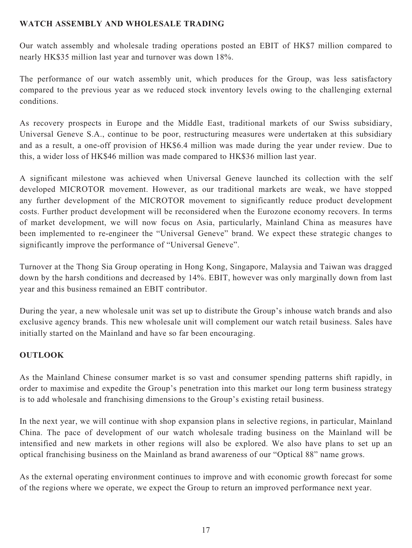# **WATCH ASSEMBLY AND WHOLESALE TRADING**

Our watch assembly and wholesale trading operations posted an EBIT of HK\$7 million compared to nearly HK\$35 million last year and turnover was down 18%.

The performance of our watch assembly unit, which produces for the Group, was less satisfactory compared to the previous year as we reduced stock inventory levels owing to the challenging external conditions.

As recovery prospects in Europe and the Middle East, traditional markets of our Swiss subsidiary, Universal Geneve S.A., continue to be poor, restructuring measures were undertaken at this subsidiary and as a result, a one-off provision of HK\$6.4 million was made during the year under review. Due to this, a wider loss of HK\$46 million was made compared to HK\$36 million last year.

A significant milestone was achieved when Universal Geneve launched its collection with the self developed MICROTOR movement. However, as our traditional markets are weak, we have stopped any further development of the MICROTOR movement to significantly reduce product development costs. Further product development will be reconsidered when the Eurozone economy recovers. In terms of market development, we will now focus on Asia, particularly, Mainland China as measures have been implemented to re-engineer the "Universal Geneve" brand. We expect these strategic changes to significantly improve the performance of "Universal Geneve".

Turnover at the Thong Sia Group operating in Hong Kong, Singapore, Malaysia and Taiwan was dragged down by the harsh conditions and decreased by 14%. EBIT, however was only marginally down from last year and this business remained an EBIT contributor.

During the year, a new wholesale unit was set up to distribute the Group's inhouse watch brands and also exclusive agency brands. This new wholesale unit will complement our watch retail business. Sales have initially started on the Mainland and have so far been encouraging.

# **OUTLOOK**

As the Mainland Chinese consumer market is so vast and consumer spending patterns shift rapidly, in order to maximise and expedite the Group's penetration into this market our long term business strategy is to add wholesale and franchising dimensions to the Group's existing retail business.

In the next year, we will continue with shop expansion plans in selective regions, in particular, Mainland China. The pace of development of our watch wholesale trading business on the Mainland will be intensified and new markets in other regions will also be explored. We also have plans to set up an optical franchising business on the Mainland as brand awareness of our "Optical 88" name grows.

As the external operating environment continues to improve and with economic growth forecast for some of the regions where we operate, we expect the Group to return an improved performance next year.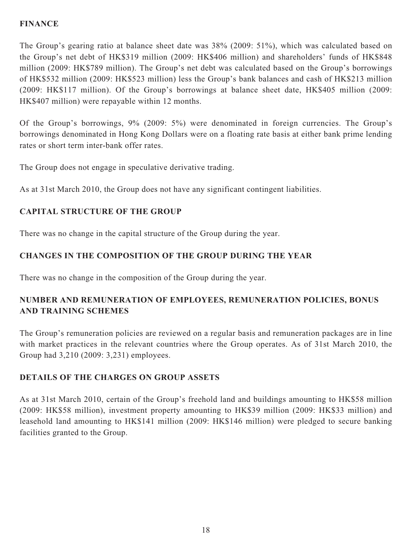# **FINANCE**

The Group's gearing ratio at balance sheet date was 38% (2009: 51%), which was calculated based on the Group's net debt of HK\$319 million (2009: HK\$406 million) and shareholders' funds of HK\$848 million (2009: HK\$789 million). The Group's net debt was calculated based on the Group's borrowings of HK\$532 million (2009: HK\$523 million) less the Group's bank balances and cash of HK\$213 million (2009: HK\$117 million). Of the Group's borrowings at balance sheet date, HK\$405 million (2009: HK\$407 million) were repayable within 12 months.

Of the Group's borrowings, 9% (2009: 5%) were denominated in foreign currencies. The Group's borrowings denominated in Hong Kong Dollars were on a floating rate basis at either bank prime lending rates or short term inter-bank offer rates.

The Group does not engage in speculative derivative trading.

As at 31st March 2010, the Group does not have any significant contingent liabilities.

# **CAPITAL STRUCTURE OF THE GROUP**

There was no change in the capital structure of the Group during the year.

# **CHANGES IN THE COMPOSITION OF THE GROUP DURING THE YEAR**

There was no change in the composition of the Group during the year.

# **NUMBER AND REMUNERATION OF EMPLOYEES, REMUNERATION POLICIES, BONUS AND TRAINING SCHEMES**

The Group's remuneration policies are reviewed on a regular basis and remuneration packages are in line with market practices in the relevant countries where the Group operates. As of 31st March 2010, the Group had 3,210 (2009: 3,231) employees.

# **DETAILS OF THE CHARGES ON GROUP ASSETS**

As at 31st March 2010, certain of the Group's freehold land and buildings amounting to HK\$58 million (2009: HK\$58 million), investment property amounting to HK\$39 million (2009: HK\$33 million) and leasehold land amounting to HK\$141 million (2009: HK\$146 million) were pledged to secure banking facilities granted to the Group.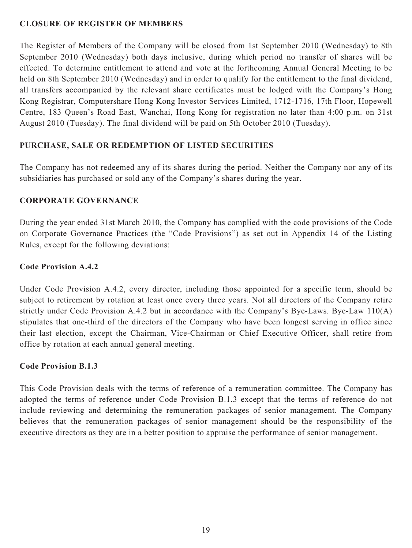## **CLOSURE OF REGISTER OF MEMBERS**

The Register of Members of the Company will be closed from 1st September 2010 (Wednesday) to 8th September 2010 (Wednesday) both days inclusive, during which period no transfer of shares will be effected. To determine entitlement to attend and vote at the forthcoming Annual General Meeting to be held on 8th September 2010 (Wednesday) and in order to qualify for the entitlement to the final dividend, all transfers accompanied by the relevant share certificates must be lodged with the Company's Hong Kong Registrar, Computershare Hong Kong Investor Services Limited, 1712-1716, 17th Floor, Hopewell Centre, 183 Queen's Road East, Wanchai, Hong Kong for registration no later than 4:00 p.m. on 31st August 2010 (Tuesday). The final dividend will be paid on 5th October 2010 (Tuesday).

# **PURCHASE, SALE OR REDEMPTION OF LISTED SECURITIES**

The Company has not redeemed any of its shares during the period. Neither the Company nor any of its subsidiaries has purchased or sold any of the Company's shares during the year.

# **CORPORATE GOVERNANCE**

During the year ended 31st March 2010, the Company has complied with the code provisions of the Code on Corporate Governance Practices (the "Code Provisions") as set out in Appendix 14 of the Listing Rules, except for the following deviations:

# **Code Provision A.4.2**

Under Code Provision A.4.2, every director, including those appointed for a specific term, should be subject to retirement by rotation at least once every three years. Not all directors of the Company retire strictly under Code Provision A.4.2 but in accordance with the Company's Bye-Laws. Bye-Law 110(A) stipulates that one-third of the directors of the Company who have been longest serving in office since their last election, except the Chairman, Vice-Chairman or Chief Executive Officer, shall retire from office by rotation at each annual general meeting.

### **Code Provision B.1.3**

This Code Provision deals with the terms of reference of a remuneration committee. The Company has adopted the terms of reference under Code Provision B.1.3 except that the terms of reference do not include reviewing and determining the remuneration packages of senior management. The Company believes that the remuneration packages of senior management should be the responsibility of the executive directors as they are in a better position to appraise the performance of senior management.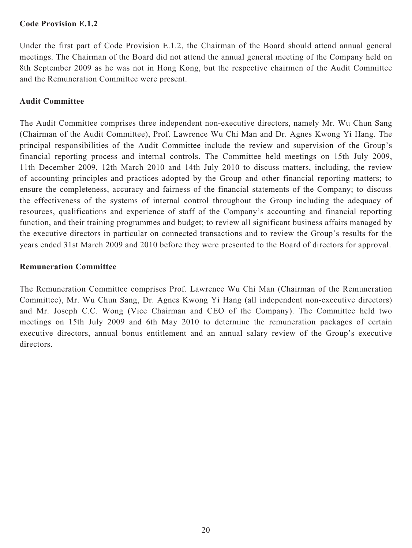### **Code Provision E.1.2**

Under the first part of Code Provision E.1.2, the Chairman of the Board should attend annual general meetings. The Chairman of the Board did not attend the annual general meeting of the Company held on 8th September 2009 as he was not in Hong Kong, but the respective chairmen of the Audit Committee and the Remuneration Committee were present.

## **Audit Committee**

The Audit Committee comprises three independent non-executive directors, namely Mr. Wu Chun Sang (Chairman of the Audit Committee), Prof. Lawrence Wu Chi Man and Dr. Agnes Kwong Yi Hang. The principal responsibilities of the Audit Committee include the review and supervision of the Group's financial reporting process and internal controls. The Committee held meetings on 15th July 2009, 11th December 2009, 12th March 2010 and 14th July 2010 to discuss matters, including, the review of accounting principles and practices adopted by the Group and other financial reporting matters; to ensure the completeness, accuracy and fairness of the financial statements of the Company; to discuss the effectiveness of the systems of internal control throughout the Group including the adequacy of resources, qualifications and experience of staff of the Company's accounting and financial reporting function, and their training programmes and budget; to review all significant business affairs managed by the executive directors in particular on connected transactions and to review the Group's results for the years ended 31st March 2009 and 2010 before they were presented to the Board of directors for approval.

### **Remuneration Committee**

The Remuneration Committee comprises Prof. Lawrence Wu Chi Man (Chairman of the Remuneration Committee), Mr. Wu Chun Sang, Dr. Agnes Kwong Yi Hang (all independent non-executive directors) and Mr. Joseph C.C. Wong (Vice Chairman and CEO of the Company). The Committee held two meetings on 15th July 2009 and 6th May 2010 to determine the remuneration packages of certain executive directors, annual bonus entitlement and an annual salary review of the Group's executive directors.